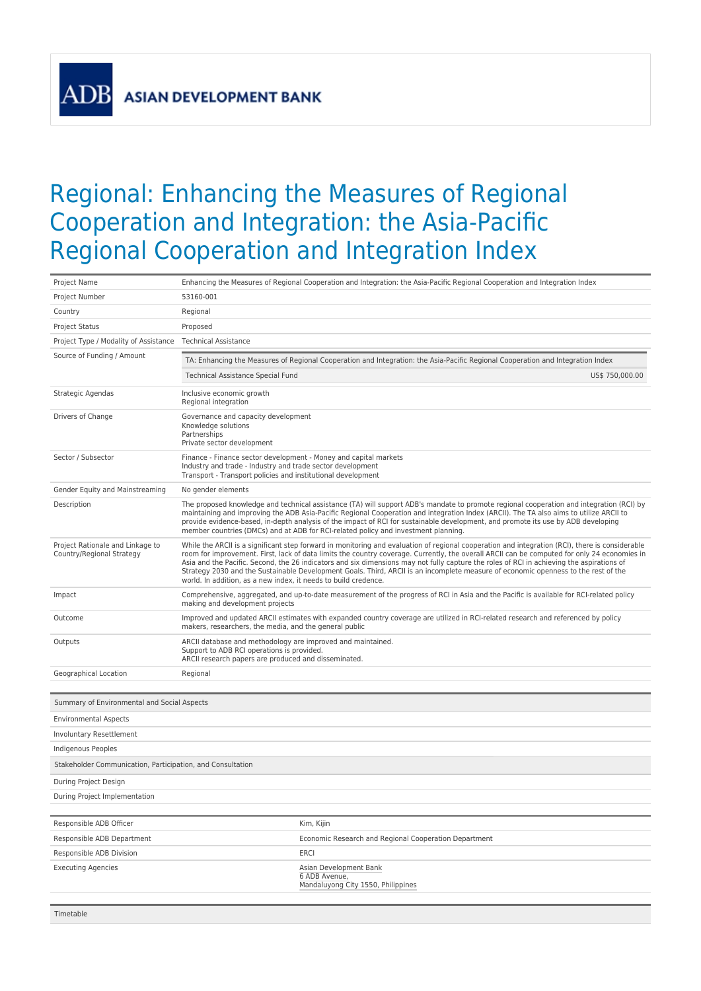**ASIAN DEVELOPMENT BANK** 

**ADB** 

## Regional: Enhancing the Measures of Regional Cooperation and Integration: the Asia-Pacific Regional Cooperation and Integration Index

| Project Name                                                  |                                                                                                                                                                                                                                                                                                                                                                                                                                                                                                                                                                                                                                                       | Enhancing the Measures of Regional Cooperation and Integration: the Asia-Pacific Regional Cooperation and Integration Index              |  |
|---------------------------------------------------------------|-------------------------------------------------------------------------------------------------------------------------------------------------------------------------------------------------------------------------------------------------------------------------------------------------------------------------------------------------------------------------------------------------------------------------------------------------------------------------------------------------------------------------------------------------------------------------------------------------------------------------------------------------------|------------------------------------------------------------------------------------------------------------------------------------------|--|
| Project Number                                                | 53160-001                                                                                                                                                                                                                                                                                                                                                                                                                                                                                                                                                                                                                                             |                                                                                                                                          |  |
| Country                                                       | Regional                                                                                                                                                                                                                                                                                                                                                                                                                                                                                                                                                                                                                                              |                                                                                                                                          |  |
| <b>Project Status</b>                                         | Proposed                                                                                                                                                                                                                                                                                                                                                                                                                                                                                                                                                                                                                                              |                                                                                                                                          |  |
| Project Type / Modality of Assistance                         | <b>Technical Assistance</b>                                                                                                                                                                                                                                                                                                                                                                                                                                                                                                                                                                                                                           |                                                                                                                                          |  |
| Source of Funding / Amount                                    |                                                                                                                                                                                                                                                                                                                                                                                                                                                                                                                                                                                                                                                       | TA: Enhancing the Measures of Regional Cooperation and Integration: the Asia-Pacific Regional Cooperation and Integration Index          |  |
|                                                               | Technical Assistance Special Fund                                                                                                                                                                                                                                                                                                                                                                                                                                                                                                                                                                                                                     | US\$ 750,000.00                                                                                                                          |  |
| Strategic Agendas                                             | Inclusive economic growth<br>Regional integration                                                                                                                                                                                                                                                                                                                                                                                                                                                                                                                                                                                                     |                                                                                                                                          |  |
| Drivers of Change                                             | Governance and capacity development<br>Knowledge solutions<br>Partnerships<br>Private sector development                                                                                                                                                                                                                                                                                                                                                                                                                                                                                                                                              |                                                                                                                                          |  |
| Sector / Subsector                                            | Finance - Finance sector development - Money and capital markets<br>Industry and trade - Industry and trade sector development<br>Transport - Transport policies and institutional development                                                                                                                                                                                                                                                                                                                                                                                                                                                        |                                                                                                                                          |  |
| Gender Equity and Mainstreaming                               | No gender elements                                                                                                                                                                                                                                                                                                                                                                                                                                                                                                                                                                                                                                    |                                                                                                                                          |  |
| Description                                                   | The proposed knowledge and technical assistance (TA) will support ADB's mandate to promote regional cooperation and integration (RCI) by<br>maintaining and improving the ADB Asia-Pacific Regional Cooperation and integration Index (ARCII). The TA also aims to utilize ARCII to<br>provide evidence-based, in-depth analysis of the impact of RCI for sustainable development, and promote its use by ADB developing<br>member countries (DMCs) and at ADB for RCI-related policy and investment planning.                                                                                                                                        |                                                                                                                                          |  |
| Project Rationale and Linkage to<br>Country/Regional Strategy | While the ARCII is a significant step forward in monitoring and evaluation of regional cooperation and integration (RCI), there is considerable<br>room for improvement. First, lack of data limits the country coverage. Currently, the overall ARCII can be computed for only 24 economies in<br>Asia and the Pacific. Second, the 26 indicators and six dimensions may not fully capture the roles of RCI in achieving the aspirations of<br>Strategy 2030 and the Sustainable Development Goals. Third, ARCII is an incomplete measure of economic openness to the rest of the<br>world. In addition, as a new index, it needs to build credence. |                                                                                                                                          |  |
| Impact                                                        | making and development projects                                                                                                                                                                                                                                                                                                                                                                                                                                                                                                                                                                                                                       | Comprehensive, aggregated, and up-to-date measurement of the progress of RCI in Asia and the Pacific is available for RCI-related policy |  |
| Outcome                                                       | Improved and updated ARCII estimates with expanded country coverage are utilized in RCI-related research and referenced by policy<br>makers, researchers, the media, and the general public                                                                                                                                                                                                                                                                                                                                                                                                                                                           |                                                                                                                                          |  |
| Outputs                                                       | ARCII database and methodology are improved and maintained.<br>Support to ADB RCI operations is provided.<br>ARCII research papers are produced and disseminated.                                                                                                                                                                                                                                                                                                                                                                                                                                                                                     |                                                                                                                                          |  |
| Geographical Location                                         | Regional                                                                                                                                                                                                                                                                                                                                                                                                                                                                                                                                                                                                                                              |                                                                                                                                          |  |
|                                                               |                                                                                                                                                                                                                                                                                                                                                                                                                                                                                                                                                                                                                                                       |                                                                                                                                          |  |
| Summary of Environmental and Social Aspects                   |                                                                                                                                                                                                                                                                                                                                                                                                                                                                                                                                                                                                                                                       |                                                                                                                                          |  |
| <b>Environmental Aspects</b>                                  |                                                                                                                                                                                                                                                                                                                                                                                                                                                                                                                                                                                                                                                       |                                                                                                                                          |  |
| <b>Involuntary Resettlement</b>                               |                                                                                                                                                                                                                                                                                                                                                                                                                                                                                                                                                                                                                                                       |                                                                                                                                          |  |
| Indigenous Peoples                                            |                                                                                                                                                                                                                                                                                                                                                                                                                                                                                                                                                                                                                                                       |                                                                                                                                          |  |
| Stakeholder Communication, Participation, and Consultation    |                                                                                                                                                                                                                                                                                                                                                                                                                                                                                                                                                                                                                                                       |                                                                                                                                          |  |
| During Project Design                                         |                                                                                                                                                                                                                                                                                                                                                                                                                                                                                                                                                                                                                                                       |                                                                                                                                          |  |
| During Project Implementation                                 |                                                                                                                                                                                                                                                                                                                                                                                                                                                                                                                                                                                                                                                       |                                                                                                                                          |  |
| Responsible ADB Officer                                       |                                                                                                                                                                                                                                                                                                                                                                                                                                                                                                                                                                                                                                                       | Kim, Kijin                                                                                                                               |  |
| Responsible ADB Department                                    |                                                                                                                                                                                                                                                                                                                                                                                                                                                                                                                                                                                                                                                       | Economic Research and Regional Cooperation Department                                                                                    |  |
| Responsible ADB Division                                      |                                                                                                                                                                                                                                                                                                                                                                                                                                                                                                                                                                                                                                                       | <b>ERCI</b>                                                                                                                              |  |
| <b>Executing Agencies</b>                                     |                                                                                                                                                                                                                                                                                                                                                                                                                                                                                                                                                                                                                                                       | Asian Development Bank<br>6 ADB Avenue,<br>Mandaluyong City 1550, Philippines                                                            |  |
| Timetable                                                     |                                                                                                                                                                                                                                                                                                                                                                                                                                                                                                                                                                                                                                                       |                                                                                                                                          |  |